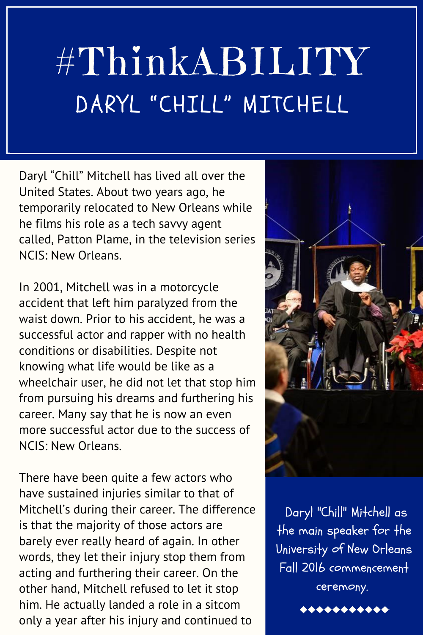## #ThinkABILITY DARYL "CHILL" MITCHELL

Daryl "Chill" Mitchell has lived all over the United States. About two years ago, he temporarily relocated to New Orleans while he films his role as a tech savvy agent called, Patton Plame, in the television series NCIS: New Orleans.

In 2001, Mitchell was in a motorcycle accident that left him paralyzed from the waist down. Prior to his accident, he was a successful actor and rapper with no health conditions or disabilities. Despite not knowing what life would be like as a wheelchair user, he did not let that stop him from pursuing his dreams and furthering his career. Many say that he is now an even more successful actor due to the success of NCIS: New Orleans.

There have been quite a few actors who have sustained injuries similar to that of Mitchell's during their career. The difference is that the majority of those actors are barely ever really heard of again. In other words, they let their injury stop them from acting and furthering their career. On the other hand, Mitchell refused to let it stop him. He actually landed a role in a sitcom only a year after his injury and continued to



Daryl "Chill" Mitchell as the main speaker for the University of New Orleans Fall 2016 commencement ceremony.

 $+ + + + + + + + +$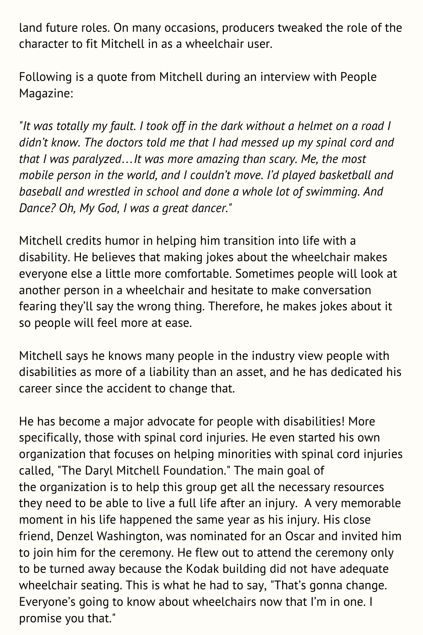land future roles. On many occasions, producers tweaked the role of the character to fit Mitchell in as a wheelchair user.

Following is a quote from Mitchell during an interview with People Magazine:

*"It was totally my fault. I took off in the dark without a helmet on a road I didn't know. The doctors told me that I had messed up my spinal cord and that I was paralyzed…It was more amazing than scary. Me, the most mobile person in the world, and I couldn't move. I'd played basketball and baseball and wrestled in school and done a whole lot of swimming. And Dance? Oh, My God, I was a great dancer."*

Mitchell credits humor in helping him transition into life with a disability. He believes that making jokes about the wheelchair makes everyone else a little more comfortable. Sometimes people will look at another person in a wheelchair and hesitate to make conversation fearing they'll say the wrong thing. Therefore, he makes jokes about it so people will feel more at ease.

Mitchell says he knows many people in the industry view people with disabilities as more of a liability than an asset, and he has dedicated his career since the accident to change that.

He has become a major advocate for people with disabilities! More specifically, those with spinal cord injuries. He even started his own organization that focuses on helping minorities with spinal cord injuries called, "The Daryl Mitchell Foundation." The main goal of the organization is to help this group get all the necessary resources they need to be able to live a full life after an injury. A very memorable moment in his life happened the same year as his injury. His close friend, Denzel Washington, was nominated for an Oscar and invited him to join him for the ceremony. He flew out to attend the ceremony only to be turned away because the Kodak building did not have adequate wheelchair seating. This is what he had to say, "That's gonna change. Everyone's going to know about wheelchairs now that I'm in one. I promise you that."